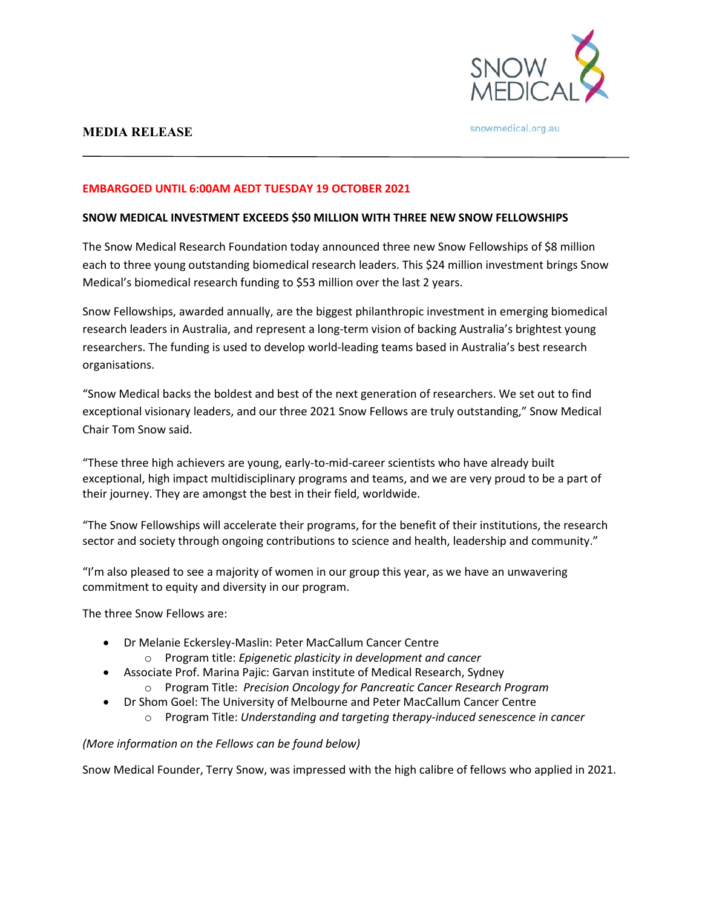

# **MEDIA RELEASE**

snowmedical.org.au

### **EMBARGOED UNTIL 6:00AM AEDT TUESDAY 19 OCTOBER 2021**

#### **SNOW MEDICAL INVESTMENT EXCEEDS \$50 MILLION WITH THREE NEW SNOW FELLOWSHIPS**

The Snow Medical Research Foundation today announced three new Snow Fellowships of \$8 million each to three young outstanding biomedical research leaders. This \$24 million investment brings Snow Medical's biomedical research funding to \$53 million over the last 2 years.

Snow Fellowships, awarded annually, are the biggest philanthropic investment in emerging biomedical research leaders in Australia, and represent a long-term vision of backing Australia's brightest young researchers. The funding is used to develop world-leading teams based in Australia's best research organisations.

"Snow Medical backs the boldest and best of the next generation of researchers. We set out to find exceptional visionary leaders, and our three 2021 Snow Fellows are truly outstanding," Snow Medical Chair Tom Snow said.

"These three high achievers are young, early-to-mid-career scientists who have already built exceptional, high impact multidisciplinary programs and teams, and we are very proud to be a part of their journey. They are amongst the best in their field, worldwide.

"The Snow Fellowships will accelerate their programs, for the benefit of their institutions, the research sector and society through ongoing contributions to science and health, leadership and community."

"I'm also pleased to see a majority of women in our group this year, as we have an unwavering commitment to equity and diversity in our program.

The three Snow Fellows are:

- Dr Melanie Eckersley-Maslin: Peter MacCallum Cancer Centre
	- o Program title: *Epigenetic plasticity in development and cancer*
- Associate Prof. Marina Pajic: Garvan institute of Medical Research, Sydney
	- o Program Title: *Precision Oncology for Pancreatic Cancer Research Program*
- Dr Shom Goel: The University of Melbourne and Peter MacCallum Cancer Centre
	- o Program Title: *Understanding and targeting therapy-induced senescence in cancer*

# *(More information on the Fellows can be found below)*

Snow Medical Founder, Terry Snow, was impressed with the high calibre of fellows who applied in 2021.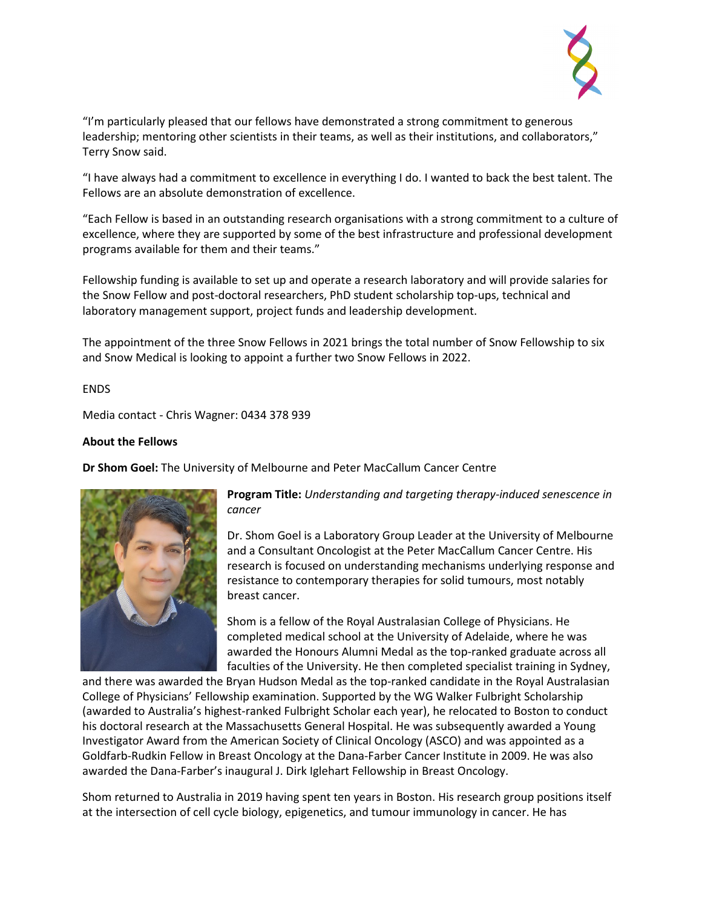

"I'm particularly pleased that our fellows have demonstrated a strong commitment to generous leadership; mentoring other scientists in their teams, as well as their institutions, and collaborators," Terry Snow said.

"I have always had a commitment to excellence in everything I do. I wanted to back the best talent. The Fellows are an absolute demonstration of excellence.

"Each Fellow is based in an outstanding research organisations with a strong commitment to a culture of excellence, where they are supported by some of the best infrastructure and professional development programs available for them and their teams."

Fellowship funding is available to set up and operate a research laboratory and will provide salaries for the Snow Fellow and post-doctoral researchers, PhD student scholarship top-ups, technical and laboratory management support, project funds and leadership development.

The appointment of the three Snow Fellows in 2021 brings the total number of Snow Fellowship to six and Snow Medical is looking to appoint a further two Snow Fellows in 2022.

#### ENDS

Media contact - Chris Wagner: 0434 378 939

### **About the Fellows**

**Dr Shom Goel:** The University of Melbourne and Peter MacCallum Cancer Centre



**Program Title:** *Understanding and targeting therapy-induced senescence in cancer*

Dr. Shom Goel is a Laboratory Group Leader at the University of Melbourne and a Consultant Oncologist at the Peter MacCallum Cancer Centre. His research is focused on understanding mechanisms underlying response and resistance to contemporary therapies for solid tumours, most notably breast cancer.

Shom is a fellow of the Royal Australasian College of Physicians. He completed medical school at the University of Adelaide, where he was awarded the Honours Alumni Medal as the top-ranked graduate across all faculties of the University. He then completed specialist training in Sydney,

and there was awarded the Bryan Hudson Medal as the top-ranked candidate in the Royal Australasian College of Physicians' Fellowship examination. Supported by the WG Walker Fulbright Scholarship (awarded to Australia's highest-ranked Fulbright Scholar each year), he relocated to Boston to conduct his doctoral research at the Massachusetts General Hospital. He was subsequently awarded a Young Investigator Award from the American Society of Clinical Oncology (ASCO) and was appointed as a Goldfarb-Rudkin Fellow in Breast Oncology at the Dana-Farber Cancer Institute in 2009. He was also awarded the Dana-Farber's inaugural J. Dirk Iglehart Fellowship in Breast Oncology.

Shom returned to Australia in 2019 having spent ten years in Boston. His research group positions itself at the intersection of cell cycle biology, epigenetics, and tumour immunology in cancer. He has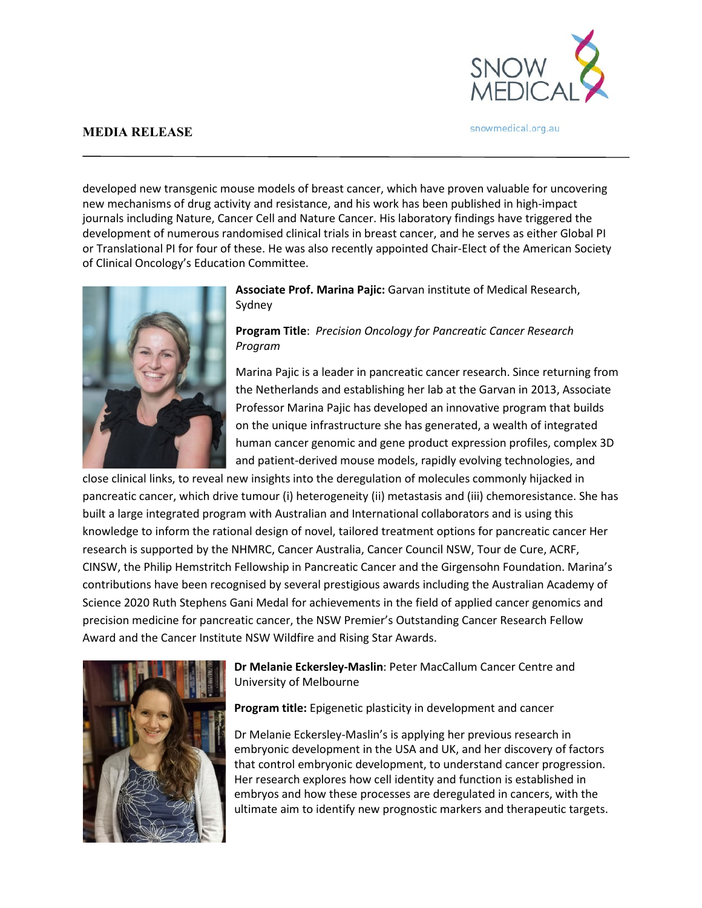

snowmedical.org.au

### **MEDIA RELEASE**

developed new transgenic mouse models of breast cancer, which have proven valuable for uncovering new mechanisms of drug activity and resistance, and his work has been published in high-impact journals including Nature, Cancer Cell and Nature Cancer. His laboratory findings have triggered the development of numerous randomised clinical trials in breast cancer, and he serves as either Global PI or Translational PI for four of these. He was also recently appointed Chair-Elect of the American Society of Clinical Oncology's Education Committee.



**Associate Prof. Marina Pajic:** Garvan institute of Medical Research, Sydney

**Program Title**: *Precision Oncology for Pancreatic Cancer Research Program*

Marina Pajic is a leader in pancreatic cancer research. Since returning from the Netherlands and establishing her lab at the Garvan in 2013, Associate Professor Marina Pajic has developed an innovative program that builds on the unique infrastructure she has generated, a wealth of integrated human cancer genomic and gene product expression profiles, complex 3D and patient-derived mouse models, rapidly evolving technologies, and

close clinical links, to reveal new insights into the deregulation of molecules commonly hijacked in pancreatic cancer, which drive tumour (i) heterogeneity (ii) metastasis and (iii) chemoresistance. She has built a large integrated program with Australian and International collaborators and is using this knowledge to inform the rational design of novel, tailored treatment options for pancreatic cancer Her research is supported by the NHMRC, Cancer Australia, Cancer Council NSW, Tour de Cure, ACRF, CINSW, the Philip Hemstritch Fellowship in Pancreatic Cancer and the Girgensohn Foundation. Marina's contributions have been recognised by several prestigious awards including the Australian Academy of Science 2020 Ruth Stephens Gani Medal for achievements in the field of applied cancer genomics and precision medicine for pancreatic cancer, the NSW Premier's Outstanding Cancer Research Fellow Award and the Cancer Institute NSW Wildfire and Rising Star Awards.



**Dr Melanie Eckersley-Maslin**: Peter MacCallum Cancer Centre and University of Melbourne

**Program title:** Epigenetic plasticity in development and cancer

Dr Melanie Eckersley-Maslin's is applying her previous research in embryonic development in the USA and UK, and her discovery of factors that control embryonic development, to understand cancer progression. Her research explores how cell identity and function is established in embryos and how these processes are deregulated in cancers, with the ultimate aim to identify new prognostic markers and therapeutic targets.